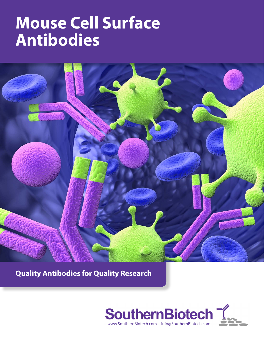

**Quality Antibodies for Quality Research**

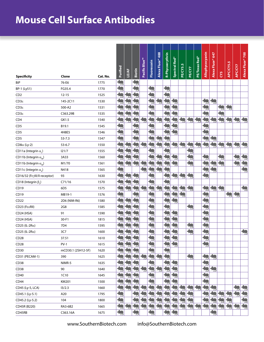| <b>Specificity</b>                      | Clone              | Cat. No. | Purified                 | <b>LE/AF</b>             | Biotin                   | Pacific Blue <sup>m</sup> | Fluorescein              | Alexa Fluor® 488         | R-Phycoerythrin      | Spectral Red <sup>®</sup> | PE/CY5.5     | PE/CY7                | PE/Texas Red® | Allophycocyanin          | Alexa Fluor® 647 | CY5              | APC/CY5.5               | <b>APC/CY7</b> | Alexa Fluor® 700 |
|-----------------------------------------|--------------------|----------|--------------------------|--------------------------|--------------------------|---------------------------|--------------------------|--------------------------|----------------------|---------------------------|--------------|-----------------------|---------------|--------------------------|------------------|------------------|-------------------------|----------------|------------------|
| BiP                                     | 76-E6              | 1775     | 鱼                        |                          |                          |                           |                          |                          |                      |                           |              |                       |               |                          |                  |                  |                         |                |                  |
| BP-1 (Ly51)                             | FG35.4             | 1770     |                          |                          |                          |                           | 鬼                        |                          | $\sum_{i=1}^{n}$     |                           |              |                       |               |                          |                  |                  |                         |                |                  |
| CD <sub>2</sub>                         | $12 - 15$          | 1525     | یرا                      | $\mathbf{z}$             | $\clubsuit$              |                           | 勻                        |                          | 鱼                    |                           |              |                       |               |                          |                  |                  |                         |                |                  |
| $CDS\varepsilon$                        | 145-2C11           | 1530     | 52                       | $\overline{\phantom{a}}$ | æ                        |                           | $\ddot{\bm{z}}$          | د ا                      | 5                    | $\overline{\phantom{a}}$  |              |                       |               | ≂                        | $\frac{1}{2}$    |                  |                         |                |                  |
| $CD3\varepsilon$                        | 500-A2             | 1531     |                          | $\Rightarrow$            | $\overline{\phantom{a}}$ |                           | Ę                        |                          | ≂                    | $\approx$                 |              |                       |               |                          |                  | $\ddot{\bullet}$ | $\overline{\mathbf{A}}$ |                |                  |
| $CD3\varepsilon$                        | C363.29B           | 1535     |                          |                          |                          |                           |                          |                          |                      |                           |              |                       |               |                          |                  |                  |                         |                |                  |
| CD4                                     | GK1.5              | 1540     |                          | 曳                        | 73                       | 一                         |                          | 2                        |                      |                           | 曳            | 勻                     |               |                          |                  | Ŋ                |                         | 侧              | $\frac{1}{2}$    |
| CD <sub>5</sub>                         | B19.1              | 1545     | 曳                        |                          | $\sim$                   |                           | 曳                        |                          | $\mathbf{z}$         | t                         |              |                       |               | $\overline{\phantom{a}}$ |                  |                  |                         |                |                  |
| CD <sub>5</sub>                         | 4H8E5              | 1546     | 曳                        |                          | $\approx$                |                           |                          |                          | $\mathbf{z}$         | 訇                         |              |                       |               |                          |                  |                  |                         |                |                  |
| CD <sub>5</sub>                         | $53 - 7.3$         | 1547     |                          |                          |                          |                           |                          | $\overline{\phantom{a}}$ | Ļ                    |                           |              |                       |               |                          | ಸ                |                  |                         |                |                  |
| $CD8\alpha$ (Ly-2)                      | $53 - 6.7$         | 1550     |                          |                          |                          |                           |                          | $\frac{1}{2}$            |                      | $\blacktriangleright$     | 鬼            | $\blacktriangleright$ |               |                          |                  | $\ddot{\bullet}$ | $\frac{1}{2}$           |                | $\frac{1}{2}$    |
| CD11a (Integrin $\alpha$ <sub>1</sub> ) | 121/7              | 1555     |                          |                          |                          |                           |                          |                          |                      |                           |              | $\frac{1}{2}$         |               |                          |                  |                  |                         |                |                  |
| CD11b (Integrin $\alpha_{\mu}$ )        | 3A33               | 1560     | یہ:                      | $\sum_{i=1}^{n}$         |                          |                           | $\mathbf{z}$             | $\triangleq$             | $\mathbf{L}$         | 鳹                         |              | 勻                     |               |                          |                  | 为                |                         |                | $\clubsuit$      |
| CD11b (Integrin $\alpha_{\mu}$ )        | M1/70              | 1561     | يرا                      | 曳                        | 73                       | ъ.                        | حما                      | $\blacklozenge$          | حما                  | 勻                         |              | 勻                     |               |                          | $\geq$           | 勻                |                         |                | 鱼                |
| CD11c (Integrin $\alpha_{x}$ )          | N418               | 1565     |                          |                          |                          |                           | W                        | t                        |                      |                           |              |                       |               | ာ                        |                  |                  |                         |                |                  |
| CD16/32 (FcγIII/II receptor)            | 93                 | 1630     |                          |                          |                          |                           |                          |                          |                      |                           |              | 鱼                     |               | 隽                        |                  |                  |                         |                |                  |
| CD18 (Integrin $\beta$ <sub>2</sub> )   | C71/16             | 1570     |                          |                          | 鬼                        |                           |                          |                          |                      |                           |              |                       |               |                          |                  |                  |                         |                |                  |
| CD19                                    | 6D <sub>5</sub>    | 1575     | $\sum_{i=1}^{n}$         | 鳹                        | یر د                     | $\frac{1}{2}$             | 为                        | 塢                        | 勻                    | ica.                      | $\mathbf{z}$ | 勻                     |               | $\ddot{\bullet}$         | 鬼                | 勻                |                         |                | 鬼                |
| CD19                                    | MB19-1             | 1576     | دی:                      |                          | $\mathbf{L}$             |                           | 5                        |                          | $\cdot$ $\geq$       | $\clubsuit$               | 勻            |                       |               | 急                        |                  |                  | 5,                      | 侧              |                  |
| CD22                                    | 2D6 (NIM-R6)       | 1580     |                          | Ę                        | E                        |                           |                          |                          | $\frac{1}{2}$        | یا                        |              |                       |               | ≂                        |                  |                  |                         |                |                  |
| CD23 (FcεRII)                           | 2G8                | 1585     |                          |                          |                          |                           |                          |                          | 鱼                    |                           |              | 鬼                     |               | 鱼                        |                  |                  |                         |                |                  |
| CD24 (HSA)                              | 91                 | 1590     |                          |                          |                          |                           |                          |                          |                      | $\blacktriangleright$     |              |                       |               |                          |                  |                  |                         |                |                  |
| CD24 (HSA)                              | 30-F1              | 1815     | یر ا                     | $\triangle$              | یر ا                     |                           | 曳                        |                          | S                    | 曳                         |              |                       |               | $\ddot{\bullet}$         |                  |                  |                         |                |                  |
| CD25 (IL-2R $\alpha$ )                  | 7D4                | 1595     |                          | $\blacktriangleright$    | حنا                      |                           | 勻                        |                          | $\tilde{\mathbf{z}}$ | $\blacktriangleright$     |              |                       |               | $\ddot{\bullet}$         |                  |                  |                         |                |                  |
| CD25 (IL-2R $\alpha$ )                  | 3C7                | 1600     |                          | حنا                      | œ                        |                           | Ą                        |                          | $\mathbf{z}$         | $\approx$                 |              | 勻                     |               | ≂                        |                  |                  |                         |                | 侧                |
| CD28                                    | 37.51              | 1610     | $\mathbf{z}$             | مار<br>$\mathbf{z}$      | $\sim$                   |                           | $\sim$                   |                          | مش<br>لحنا           | 40<br>$\mathbf{z}$        |              |                       |               | 40<br>$\mathbf{z}$       |                  |                  |                         |                |                  |
| CD <sub>28</sub>                        | $PV-1$             | 1615     |                          |                          |                          |                           |                          |                          | $\overline{\bullet}$ | 勻                         |              |                       |               | 勻                        |                  |                  |                         |                |                  |
| CD30                                    | mCD30.1 (2SH12-5F) | 1620     | $\mathbb{Z}$             | $\triangle$              |                          |                           | ica                      |                          | 鬼                    |                           |              |                       |               |                          |                  |                  |                         |                |                  |
| CD31 (PECAM-1)                          | 390                | 1625     | $\overline{\phantom{a}}$ | ∽                        | ≂                        | 5                         | 53                       | 1                        | 訇                    |                           |              | 角                     |               | $\overline{z}$           | $\ddot{\bullet}$ |                  |                         |                |                  |
| CD38                                    | NIMR-5             | 1635     |                          | حما                      |                          |                           | $\overline{\phantom{a}}$ |                          | ≂                    | $\frac{1}{2}$             |              |                       |               |                          |                  |                  |                         |                |                  |
| CD38                                    | 90                 | 1640     |                          |                          |                          |                           | 5                        | $\blacktriangleright$    | $\mathbf{L}$         | $\blacktriangleright$     |              |                       |               |                          | $\frac{1}{2}$    |                  |                         |                |                  |
| CD40                                    | 1C10               | 1645     |                          |                          |                          |                           |                          |                          |                      |                           |              |                       |               |                          |                  |                  |                         |                |                  |
| CD44                                    | KM201              | 1500     | ینا                      | $\clubsuit$              |                          |                           |                          |                          | $\mathbf{z}$         |                           |              |                       |               |                          |                  |                  |                         |                |                  |
| CD45 (Ly-5, LCA)                        | 13/2.3             | 1660     | 5                        |                          | حنا                      |                           | ≂                        | $\sim$                   | حا                   |                           |              | دی∙                   |               |                          |                  |                  |                         |                |                  |
| CD45.1 (Ly-5.1)                         | A20                | 1795     |                          |                          |                          |                           | ≂                        | ≈                        | ਣ                    |                           |              | $\blacksquare$        |               |                          |                  | ಸ                | $\sim$                  |                | $\frac{1}{2}$    |
| CD45.2 (Ly-5.2)                         | 104                | 1800     |                          |                          |                          |                           |                          |                          |                      |                           |              | $\triangleq$          |               |                          |                  | $\mathbf{L}$     |                         |                | 急                |
| CD45R (B220)                            | RA3-6B2            | 1665     |                          |                          | $\overline{z}$           |                           | ≂                        |                          | ≂                    |                           |              |                       | 角             |                          |                  |                  |                         |                | 鱼                |
| CD45RB                                  | C363.16A           | 1675     | 曳                        |                          |                          |                           |                          |                          | $\mathbf{z}$         |                           |              |                       |               |                          |                  |                  |                         |                |                  |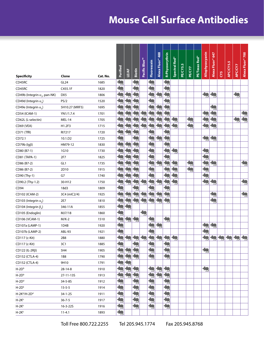| <b>Specificity</b>                     | Clone            | Cat. No. | Purified                 | <b>LE/AF</b>          | <b>Biotin</b>            | Pacific Blue <sup>m</sup> | Fluorescein    | Alexa Fluor <sup>®</sup> 488 | R-Phycoerythrin          | Spectral Red <sup>®</sup> | PE/CY5.5 | PE/CY7 | <b>PE/Texas Red®</b> | Allophycocyanin          | Alexa Fluor® 647 | CY5 | APC/CY5.5   | <b>APC/CY7</b> | Alexa Fluor® 700     |
|----------------------------------------|------------------|----------|--------------------------|-----------------------|--------------------------|---------------------------|----------------|------------------------------|--------------------------|---------------------------|----------|--------|----------------------|--------------------------|------------------|-----|-------------|----------------|----------------------|
| CD45RC                                 | GL <sub>24</sub> | 1685     | $\sim$                   |                       | $\approx$                |                           | 늣              |                              | $\Rightarrow$            |                           |          |        |                      |                          |                  |     |             |                |                      |
| CD45RC                                 | C455.1F          | 1820     |                          |                       |                          |                           |                |                              | $\approx$                |                           |          |        |                      |                          |                  |     |             |                |                      |
| CD49b (Integrin $\alpha_{2}$ , pan-NK) | DX5              | 1806     |                          |                       |                          |                           |                | .<br>B                       |                          |                           |          |        |                      | 勻                        | 鱼                |     |             | 勻              |                      |
| CD49d (Integrin $\alpha_a$ )           | PS/2             | 1520     |                          |                       |                          |                           |                |                              |                          |                           |          |        |                      |                          |                  |     |             |                |                      |
| CD49e (Integrin $\alpha_{5}$ )         | 5H10.27 (MRF5)   | 1695     |                          |                       |                          |                           |                | $\approx$                    | $\ddot{\bullet}$         |                           |          |        |                      |                          | 惠                |     |             |                |                      |
| CD54 (ICAM-1)                          | YN1/1.7.4        | 1701     |                          |                       | $\approx$                | ᄎ                         | ᄎ              | $\overline{\phantom{a}}$     | $\sim$                   |                           |          |        |                      | $\frac{1}{2}$            | $\rightarrow$    |     |             |                |                      |
| CD62L (L-selectin)                     | MEL-14           | 1705     |                          | $\approx$             | $\approx$                | Ξ                         |                | $\approx$                    | ÷                        | i.                        |          | 鬼      |                      | $\overline{\phantom{1}}$ |                  |     |             | ≂              |                      |
| CD69 (VEA)                             | H1.2F3           | 1715     |                          |                       | ᄎ                        |                           |                | $\overline{z}$               |                          |                           |          | 编      |                      | 訇                        |                  |     |             |                |                      |
| CD71 (TfR)                             | RI7217           | 1720     | $\sum_{i=1}^{n}$         |                       |                          |                           |                |                              |                          |                           |          |        |                      |                          |                  |     |             |                |                      |
| CD72.1                                 | 10.1.D2          | 1725     |                          |                       |                          |                           |                | Ę                            | 鱼                        |                           |          |        |                      | 勻                        |                  |     |             |                |                      |
| $CD79b$ ( $lg\beta$ )                  | HM79-12          | 1830     |                          | $\approx$             | $\sim$                   |                           | $\overline{z}$ |                              | $\overline{\phantom{a}}$ |                           |          |        |                      |                          |                  |     |             |                |                      |
| CD80 (B7-1)                            | 1G10             | 1730     |                          | $\approx$             | R                        |                           |                |                              | E                        | L                         |          |        |                      |                          |                  |     |             |                |                      |
| CD81 (TAPA-1)                          | 2F7              | 1825     |                          |                       |                          |                           |                |                              |                          |                           |          |        |                      |                          |                  |     |             |                |                      |
| CD86 (B7-2)                            | GL1              | 1735     |                          |                       |                          |                           |                |                              | $\frac{1}{2}$            | $\overline{\phantom{a}}$  |          | 鬼      |                      | 鬼                        | 勻                |     |             |                | 编                    |
| CD86 (B7-2)                            | 2D10             | 1915     |                          |                       | $\overline{\phantom{a}}$ |                           |                |                              |                          | $\frac{1}{2}$             |          | 编      |                      | 鱼                        |                  |     |             |                |                      |
| CD90 (Thy-1)                           | G7               | 1740     |                          | 惠                     | $\sim$                   |                           |                |                              | $\overline{\phantom{a}}$ | $\overline{\phantom{a}}$  |          |        |                      | 曳                        |                  |     |             |                |                      |
| CD90.2 (Thy-1.2)                       | 30-H12           | 1750     | æ                        |                       | $\approx$                | $\overline{\phantom{0}}$  | ᄎ              | $\overline{\phantom{0}}$     | Ę                        |                           |          |        |                      |                          | 曳                |     |             |                | $\overline{\bullet}$ |
| CD94                                   | 18d3             | 1809     |                          |                       |                          |                           |                |                              |                          |                           |          |        |                      |                          |                  |     |             |                |                      |
| CD102 (ICAM-2)                         | 3C4 (mlC2/4)     | 1925     |                          | 2                     | $\clubsuit$              | ≂                         |                | œ                            | $\triangle$              |                           |          |        |                      |                          | 鬼                |     |             |                | 编                    |
| CD103 (Integrin $\alpha_{F}$ )         | 2E7              | 1810     |                          | 急                     | 勻                        | Ļ                         |                | Ļ                            |                          |                           |          |        |                      |                          | 曳                |     |             |                |                      |
| CD104 (Integrin $\beta_a$ )            | 346-11A          | 1855     | is.                      |                       |                          |                           |                |                              |                          |                           |          |        |                      |                          |                  |     |             |                |                      |
| CD105 (Endoglin)                       | MJ7/18           | 1860     | $\overline{\phantom{a}}$ |                       |                          |                           |                |                              |                          |                           |          |        |                      |                          |                  |     |             |                |                      |
| CD106 (VCAM-1)                         | $M/K-2$          | 1510     |                          | $\mathbf{L}$          | 鬼                        |                           |                |                              | 角                        |                           |          |        |                      |                          |                  |     |             |                |                      |
| CD107a (LAMP-1)                        | 1D4B             | 1920     | 曳                        |                       |                          |                           |                | 鬼                            |                          |                           |          |        |                      |                          | 侧                |     |             |                |                      |
| CD107b (LAMP-2)                        | ABL-93           | 1921     |                          |                       |                          |                           |                |                              |                          |                           |          |        |                      |                          |                  |     |             |                |                      |
| CD117 (c-Kit)                          | 2B8              | 1880     | ு                        | ⊃∣                    | ా                        | ≂∣                        | ా              | ⊃⊩                           | ా                        | $\Rightarrow$             |          |        |                      | ≂⊧                       | ⊃∣               | ⊐า  | <u>s – </u> | ా              | ా                    |
| CD117 (c-Kit)                          | 3C1              | 1885     |                          |                       |                          |                           |                |                              | 为                        |                           |          |        |                      |                          |                  |     |             |                |                      |
| $CD122$ (IL-2R $\beta$ )               | 5H4              | 1905     |                          |                       |                          |                           |                |                              |                          |                           |          |        |                      | 勻                        |                  |     |             |                |                      |
| CD152 (CTLA-4)                         | <b>1B8</b>       | 1790     |                          | 编                     | 鬼                        |                           | 鬼              |                              | 鬼                        |                           |          |        |                      |                          |                  |     |             |                |                      |
| CD152 (CTLA-4)                         | 9H10             | 1791     |                          |                       |                          |                           |                |                              |                          |                           |          |        |                      |                          |                  |     |             |                |                      |
| $H-2Db$                                | $28 - 14 - 8$    | 1910     | $\sim$                   | $\blacktriangleright$ | $\frac{1}{2}$            |                           | $\mathbb{R}$   | ⋝                            | $\ddot{\bullet}$         |                           |          |        |                      | 塢                        |                  |     |             |                |                      |
| $H-2Db$                                | 27-11-13S        | 1913     | $\overline{\phantom{a}}$ | 5                     | $\frac{1}{2}$            |                           | $\frac{1}{2}$  | 5                            | $\frac{1}{2}$            |                           |          |        |                      |                          |                  |     |             |                |                      |
| $H-2Dd$                                | 34-5-8S          | 1912     |                          |                       |                          |                           |                |                              |                          |                           |          |        |                      |                          |                  |     |             |                |                      |
| $H-2Dk$                                | $15 - 5 - 5$     | 1914     | $\triangle$              |                       |                          |                           |                |                              |                          |                           |          |        |                      |                          |                  |     |             |                |                      |
| $H-2Kd/H-2Dd$                          | 34-1-2S          | 1911     |                          |                       | $\overline{\phantom{a}}$ |                           | Ļ              |                              | 鱼                        |                           |          |        |                      |                          |                  |     |             |                |                      |
| $H-2Kk$                                | $36 - 7 - 5$     | 1917     | $\sim$                   |                       | t,                       |                           | $\rightarrow$  |                              | 急                        |                           |          |        |                      |                          |                  |     |             |                |                      |
| $H-2Kk$                                | 16-3-225         | 1916     | 3                        |                       | 鬼                        |                           | 鬼              |                              | 鬼                        |                           |          |        |                      |                          |                  |     |             |                |                      |
| $H-2Kk$                                | $11 - 4.1$       | 1893     |                          |                       |                          |                           |                |                              |                          |                           |          |        |                      |                          |                  |     |             |                |                      |

Toll Free 800.722.2255 Tel 205.945.1774 Fax 205.945.8768